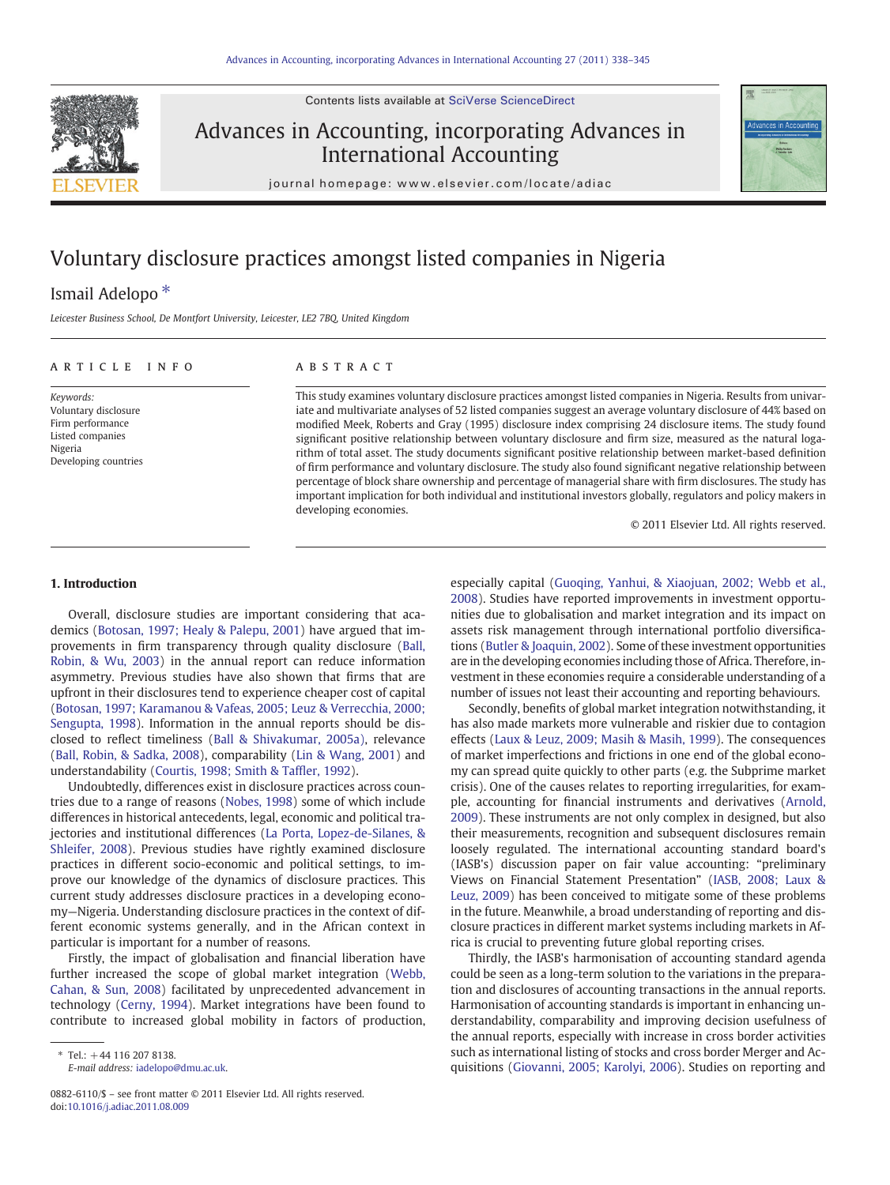Contents lists available at [SciVerse ScienceDirect](http://www.sciencedirect.com/science/journal/08826110)



### Advances in Accounting, incorporating Advances in International Accounting



journal homepage: www.elsevier.com/locate/adiac

## Voluntary disclosure practices amongst listed companies in Nigeria

### Ismail Adelopo<sup>\*</sup>

Leicester Business School, De Montfort University, Leicester, LE2 7BQ, United Kingdom

#### ARTICLE INFO ABSTRACT

Keywords: Voluntary disclosure Firm performance Listed companies Nigeria Developing countries

This study examines voluntary disclosure practices amongst listed companies in Nigeria. Results from univariate and multivariate analyses of 52 listed companies suggest an average voluntary disclosure of 44% based on modified Meek, Roberts and Gray (1995) disclosure index comprising 24 disclosure items. The study found significant positive relationship between voluntary disclosure and firm size, measured as the natural logarithm of total asset. The study documents significant positive relationship between market-based definition of firm performance and voluntary disclosure. The study also found significant negative relationship between percentage of block share ownership and percentage of managerial share with firm disclosures. The study has important implication for both individual and institutional investors globally, regulators and policy makers in developing economies.

© 2011 Elsevier Ltd. All rights reserved.

#### 1. Introduction

Overall, disclosure studies are important considering that academics ([Botosan, 1997; Healy & Palepu, 2001\)](#page--1-0) have argued that improvements in firm transparency through quality disclosure ([Ball,](#page--1-0) [Robin, & Wu, 2003\)](#page--1-0) in the annual report can reduce information asymmetry. Previous studies have also shown that firms that are upfront in their disclosures tend to experience cheaper cost of capital [\(Botosan, 1997; Karamanou & Vafeas, 2005; Leuz & Verrecchia, 2000;](#page--1-0) [Sengupta, 1998](#page--1-0)). Information in the annual reports should be disclosed to reflect timeliness [\(Ball & Shivakumar, 2005a\)](#page--1-0), relevance [\(Ball, Robin, & Sadka, 2008\)](#page--1-0), comparability [\(Lin & Wang, 2001\)](#page--1-0) and understandability [\(Courtis, 1998; Smith & Taf](#page--1-0)fler, 1992).

Undoubtedly, differences exist in disclosure practices across countries due to a range of reasons ([Nobes, 1998\)](#page--1-0) some of which include differences in historical antecedents, legal, economic and political trajectories and institutional differences ([La Porta, Lopez-de-Silanes, &](#page--1-0) [Shleifer, 2008](#page--1-0)). Previous studies have rightly examined disclosure practices in different socio-economic and political settings, to improve our knowledge of the dynamics of disclosure practices. This current study addresses disclosure practices in a developing economy—Nigeria. Understanding disclosure practices in the context of different economic systems generally, and in the African context in particular is important for a number of reasons.

Firstly, the impact of globalisation and financial liberation have further increased the scope of global market integration [\(Webb,](#page--1-0) [Cahan, & Sun, 2008\)](#page--1-0) facilitated by unprecedented advancement in technology ([Cerny, 1994\)](#page--1-0). Market integrations have been found to contribute to increased global mobility in factors of production,

especially capital [\(Guoqing, Yanhui, & Xiaojuan, 2002; Webb et al.,](#page--1-0) [2008\)](#page--1-0). Studies have reported improvements in investment opportunities due to globalisation and market integration and its impact on assets risk management through international portfolio diversifications [\(Butler & Joaquin, 2002](#page--1-0)). Some of these investment opportunities are in the developing economies including those of Africa. Therefore, investment in these economies require a considerable understanding of a number of issues not least their accounting and reporting behaviours.

Secondly, benefits of global market integration notwithstanding, it has also made markets more vulnerable and riskier due to contagion effects [\(Laux & Leuz, 2009; Masih & Masih, 1999](#page--1-0)). The consequences of market imperfections and frictions in one end of the global economy can spread quite quickly to other parts (e.g. the Subprime market crisis). One of the causes relates to reporting irregularities, for example, accounting for financial instruments and derivatives [\(Arnold,](#page--1-0) [2009\)](#page--1-0). These instruments are not only complex in designed, but also their measurements, recognition and subsequent disclosures remain loosely regulated. The international accounting standard board's (IASB's) discussion paper on fair value accounting: "preliminary Views on Financial Statement Presentation" ([IASB, 2008; Laux &](#page--1-0) [Leuz, 2009](#page--1-0)) has been conceived to mitigate some of these problems in the future. Meanwhile, a broad understanding of reporting and disclosure practices in different market systems including markets in Africa is crucial to preventing future global reporting crises.

Thirdly, the IASB's harmonisation of accounting standard agenda could be seen as a long-term solution to the variations in the preparation and disclosures of accounting transactions in the annual reports. Harmonisation of accounting standards is important in enhancing understandability, comparability and improving decision usefulness of the annual reports, especially with increase in cross border activities such as international listing of stocks and cross border Merger and Acquisitions [\(Giovanni, 2005; Karolyi, 2006](#page--1-0)). Studies on reporting and

 $*$  Tel.:  $+44$  116 207 8138.

E-mail address: [iadelopo@dmu.ac.uk.](mailto:iadelopo@dmu.ac.uk)

<sup>0882-6110/\$</sup> – see front matter © 2011 Elsevier Ltd. All rights reserved. doi[:10.1016/j.adiac.2011.08.009](http://dx.doi.org/10.1016/j.adiac.2011.08.009)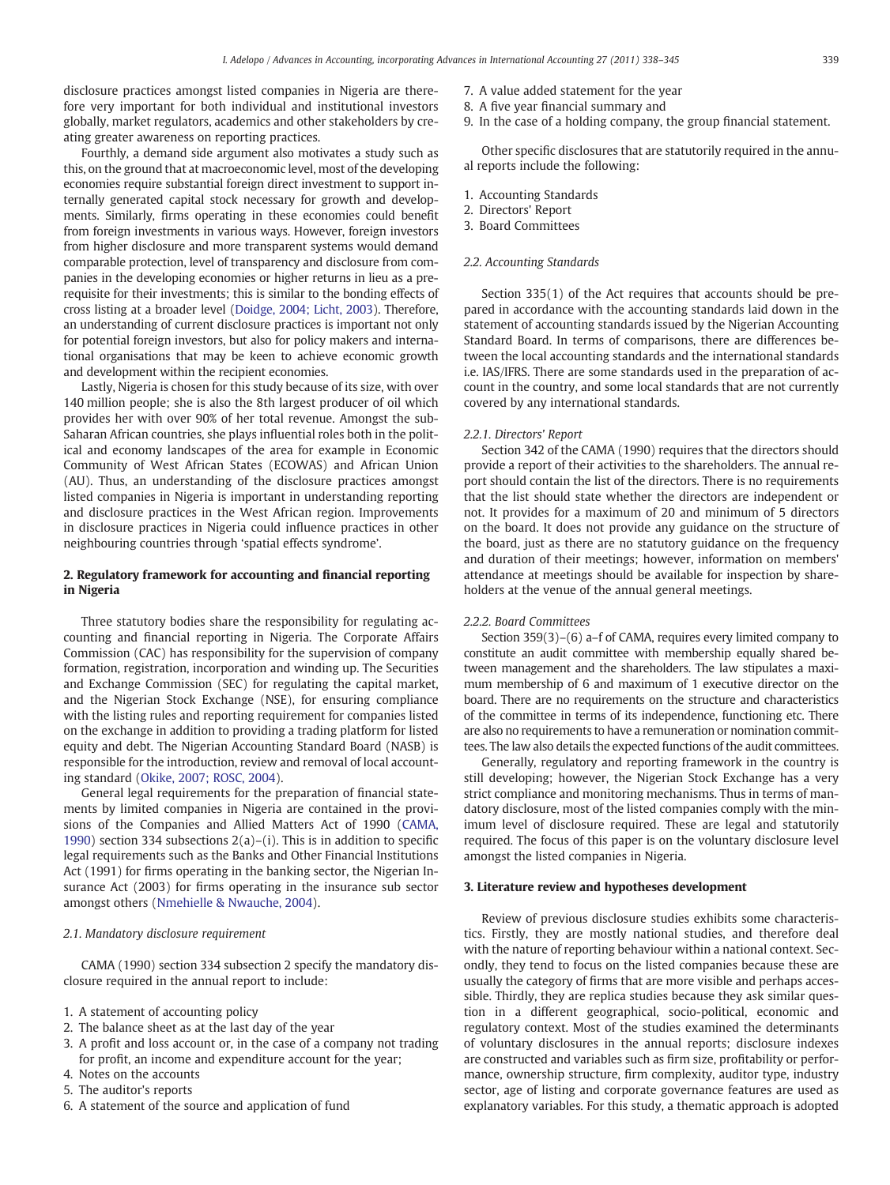disclosure practices amongst listed companies in Nigeria are therefore very important for both individual and institutional investors globally, market regulators, academics and other stakeholders by creating greater awareness on reporting practices.

Fourthly, a demand side argument also motivates a study such as this, on the ground that at macroeconomic level, most of the developing economies require substantial foreign direct investment to support internally generated capital stock necessary for growth and developments. Similarly, firms operating in these economies could benefit from foreign investments in various ways. However, foreign investors from higher disclosure and more transparent systems would demand comparable protection, level of transparency and disclosure from companies in the developing economies or higher returns in lieu as a prerequisite for their investments; this is similar to the bonding effects of cross listing at a broader level [\(Doidge, 2004; Licht, 2003\)](#page--1-0). Therefore, an understanding of current disclosure practices is important not only for potential foreign investors, but also for policy makers and international organisations that may be keen to achieve economic growth and development within the recipient economies.

Lastly, Nigeria is chosen for this study because of its size, with over 140 million people; she is also the 8th largest producer of oil which provides her with over 90% of her total revenue. Amongst the sub-Saharan African countries, she plays influential roles both in the political and economy landscapes of the area for example in Economic Community of West African States (ECOWAS) and African Union (AU). Thus, an understanding of the disclosure practices amongst listed companies in Nigeria is important in understanding reporting and disclosure practices in the West African region. Improvements in disclosure practices in Nigeria could influence practices in other neighbouring countries through 'spatial effects syndrome'.

### 2. Regulatory framework for accounting and financial reporting in Nigeria

Three statutory bodies share the responsibility for regulating accounting and financial reporting in Nigeria. The Corporate Affairs Commission (CAC) has responsibility for the supervision of company formation, registration, incorporation and winding up. The Securities and Exchange Commission (SEC) for regulating the capital market, and the Nigerian Stock Exchange (NSE), for ensuring compliance with the listing rules and reporting requirement for companies listed on the exchange in addition to providing a trading platform for listed equity and debt. The Nigerian Accounting Standard Board (NASB) is responsible for the introduction, review and removal of local accounting standard [\(Okike, 2007; ROSC, 2004](#page--1-0)).

General legal requirements for the preparation of financial statements by limited companies in Nigeria are contained in the provisions of the Companies and Allied Matters Act of 1990 [\(CAMA,](#page--1-0) [1990\)](#page--1-0) section 334 subsections  $2(a)$ –(i). This is in addition to specific legal requirements such as the Banks and Other Financial Institutions Act (1991) for firms operating in the banking sector, the Nigerian Insurance Act (2003) for firms operating in the insurance sub sector amongst others [\(Nmehielle & Nwauche, 2004](#page--1-0)).

#### 2.1. Mandatory disclosure requirement

CAMA (1990) section 334 subsection 2 specify the mandatory disclosure required in the annual report to include:

- 1. A statement of accounting policy
- 2. The balance sheet as at the last day of the year
- 3. A profit and loss account or, in the case of a company not trading for profit, an income and expenditure account for the year;
- 4. Notes on the accounts
- 5. The auditor's reports
- 6. A statement of the source and application of fund
- 7. A value added statement for the year
- 8. A five year financial summary and
- 9. In the case of a holding company, the group financial statement.

Other specific disclosures that are statutorily required in the annual reports include the following:

- 1. Accounting Standards
- 2. Directors' Report
- 3. Board Committees

#### 2.2. Accounting Standards

Section 335(1) of the Act requires that accounts should be prepared in accordance with the accounting standards laid down in the statement of accounting standards issued by the Nigerian Accounting Standard Board. In terms of comparisons, there are differences between the local accounting standards and the international standards i.e. IAS/IFRS. There are some standards used in the preparation of account in the country, and some local standards that are not currently covered by any international standards.

#### 2.2.1. Directors' Report

Section 342 of the CAMA (1990) requires that the directors should provide a report of their activities to the shareholders. The annual report should contain the list of the directors. There is no requirements that the list should state whether the directors are independent or not. It provides for a maximum of 20 and minimum of 5 directors on the board. It does not provide any guidance on the structure of the board, just as there are no statutory guidance on the frequency and duration of their meetings; however, information on members' attendance at meetings should be available for inspection by shareholders at the venue of the annual general meetings.

#### 2.2.2. Board Committees

Section 359(3)–(6) a–f of CAMA, requires every limited company to constitute an audit committee with membership equally shared between management and the shareholders. The law stipulates a maximum membership of 6 and maximum of 1 executive director on the board. There are no requirements on the structure and characteristics of the committee in terms of its independence, functioning etc. There are also no requirements to have a remuneration or nomination committees. The law also details the expected functions of the audit committees.

Generally, regulatory and reporting framework in the country is still developing; however, the Nigerian Stock Exchange has a very strict compliance and monitoring mechanisms. Thus in terms of mandatory disclosure, most of the listed companies comply with the minimum level of disclosure required. These are legal and statutorily required. The focus of this paper is on the voluntary disclosure level amongst the listed companies in Nigeria.

#### 3. Literature review and hypotheses development

Review of previous disclosure studies exhibits some characteristics. Firstly, they are mostly national studies, and therefore deal with the nature of reporting behaviour within a national context. Secondly, they tend to focus on the listed companies because these are usually the category of firms that are more visible and perhaps accessible. Thirdly, they are replica studies because they ask similar question in a different geographical, socio-political, economic and regulatory context. Most of the studies examined the determinants of voluntary disclosures in the annual reports; disclosure indexes are constructed and variables such as firm size, profitability or performance, ownership structure, firm complexity, auditor type, industry sector, age of listing and corporate governance features are used as explanatory variables. For this study, a thematic approach is adopted